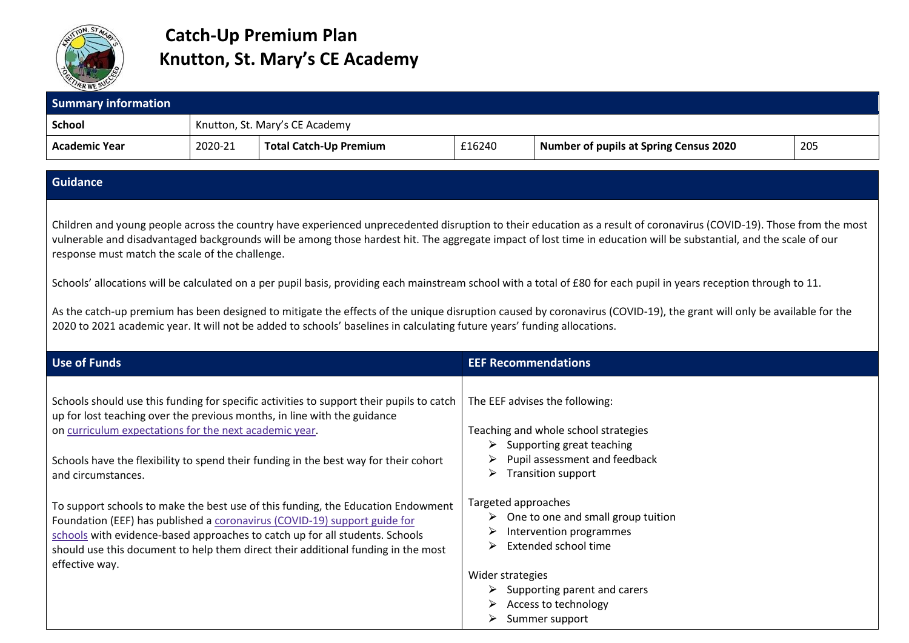

## **Catch-Up Premium Plan Knutton, St. Mary's CE Academy**

| $\sim$ $\sim$                                                                                                                                                                                                                                                                                                                                                                                                                                                                                                                                                                                                                                                                                                                                                                                                                                                             |         |                                                                                                                                                                                                                                                                                                                                                                                                                                                                                                                                                                                                    |                                              |                                                                                                                                                                                                                                                                                                                                                                          |     |  |  |
|---------------------------------------------------------------------------------------------------------------------------------------------------------------------------------------------------------------------------------------------------------------------------------------------------------------------------------------------------------------------------------------------------------------------------------------------------------------------------------------------------------------------------------------------------------------------------------------------------------------------------------------------------------------------------------------------------------------------------------------------------------------------------------------------------------------------------------------------------------------------------|---------|----------------------------------------------------------------------------------------------------------------------------------------------------------------------------------------------------------------------------------------------------------------------------------------------------------------------------------------------------------------------------------------------------------------------------------------------------------------------------------------------------------------------------------------------------------------------------------------------------|----------------------------------------------|--------------------------------------------------------------------------------------------------------------------------------------------------------------------------------------------------------------------------------------------------------------------------------------------------------------------------------------------------------------------------|-----|--|--|
| <b>Summary information</b>                                                                                                                                                                                                                                                                                                                                                                                                                                                                                                                                                                                                                                                                                                                                                                                                                                                |         |                                                                                                                                                                                                                                                                                                                                                                                                                                                                                                                                                                                                    |                                              |                                                                                                                                                                                                                                                                                                                                                                          |     |  |  |
| <b>School</b>                                                                                                                                                                                                                                                                                                                                                                                                                                                                                                                                                                                                                                                                                                                                                                                                                                                             |         | Knutton, St. Mary's CE Academy                                                                                                                                                                                                                                                                                                                                                                                                                                                                                                                                                                     |                                              |                                                                                                                                                                                                                                                                                                                                                                          |     |  |  |
| <b>Academic Year</b>                                                                                                                                                                                                                                                                                                                                                                                                                                                                                                                                                                                                                                                                                                                                                                                                                                                      | 2020-21 | <b>Total Catch-Up Premium</b>                                                                                                                                                                                                                                                                                                                                                                                                                                                                                                                                                                      | £16240                                       | <b>Number of pupils at Spring Census 2020</b>                                                                                                                                                                                                                                                                                                                            | 205 |  |  |
|                                                                                                                                                                                                                                                                                                                                                                                                                                                                                                                                                                                                                                                                                                                                                                                                                                                                           |         |                                                                                                                                                                                                                                                                                                                                                                                                                                                                                                                                                                                                    |                                              |                                                                                                                                                                                                                                                                                                                                                                          |     |  |  |
| <b>Guidance</b>                                                                                                                                                                                                                                                                                                                                                                                                                                                                                                                                                                                                                                                                                                                                                                                                                                                           |         |                                                                                                                                                                                                                                                                                                                                                                                                                                                                                                                                                                                                    |                                              |                                                                                                                                                                                                                                                                                                                                                                          |     |  |  |
| Children and young people across the country have experienced unprecedented disruption to their education as a result of coronavirus (COVID-19). Those from the most<br>vulnerable and disadvantaged backgrounds will be among those hardest hit. The aggregate impact of lost time in education will be substantial, and the scale of our<br>response must match the scale of the challenge.<br>Schools' allocations will be calculated on a per pupil basis, providing each mainstream school with a total of £80 for each pupil in years reception through to 11.<br>As the catch-up premium has been designed to mitigate the effects of the unique disruption caused by coronavirus (COVID-19), the grant will only be available for the<br>2020 to 2021 academic year. It will not be added to schools' baselines in calculating future years' funding allocations. |         |                                                                                                                                                                                                                                                                                                                                                                                                                                                                                                                                                                                                    |                                              |                                                                                                                                                                                                                                                                                                                                                                          |     |  |  |
| <b>Use of Funds</b>                                                                                                                                                                                                                                                                                                                                                                                                                                                                                                                                                                                                                                                                                                                                                                                                                                                       |         |                                                                                                                                                                                                                                                                                                                                                                                                                                                                                                                                                                                                    | <b>EEF Recommendations</b>                   |                                                                                                                                                                                                                                                                                                                                                                          |     |  |  |
| on curriculum expectations for the next academic year.<br>and circumstances.<br>effective way.                                                                                                                                                                                                                                                                                                                                                                                                                                                                                                                                                                                                                                                                                                                                                                            |         | Schools should use this funding for specific activities to support their pupils to catch<br>up for lost teaching over the previous months, in line with the guidance<br>Schools have the flexibility to spend their funding in the best way for their cohort<br>To support schools to make the best use of this funding, the Education Endowment<br>Foundation (EEF) has published a coronavirus (COVID-19) support guide for<br>schools with evidence-based approaches to catch up for all students. Schools<br>should use this document to help them direct their additional funding in the most | Targeted approaches<br>⋗<br>Wider strategies | The EEF advises the following:<br>Teaching and whole school strategies<br>$\triangleright$ Supporting great teaching<br>$\triangleright$ Pupil assessment and feedback<br>$\triangleright$ Transition support<br>$\triangleright$ One to one and small group tuition<br>Intervention programmes<br>Extended school time<br>$\triangleright$ Supporting parent and carers |     |  |  |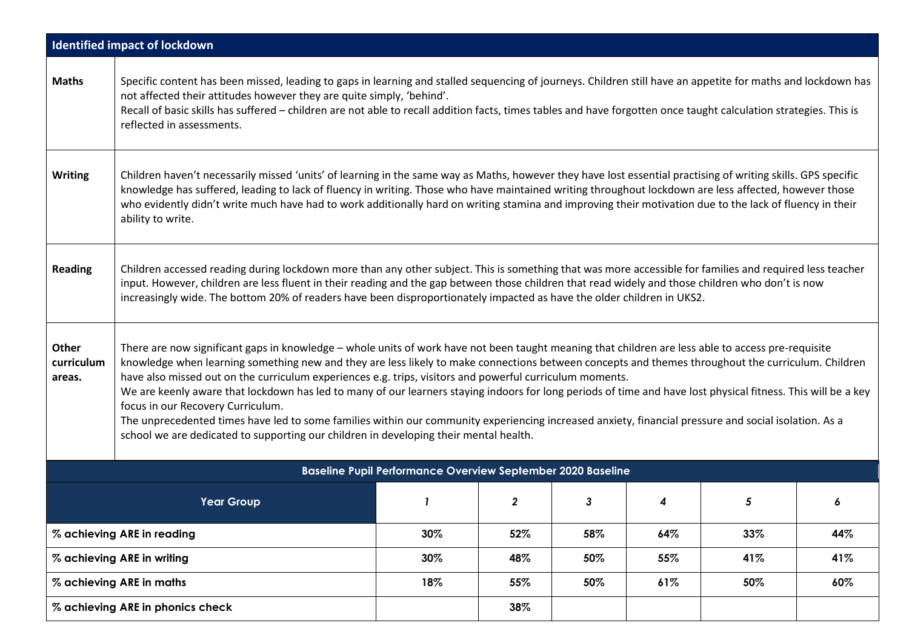|                               | <b>Identified impact of lockdown</b>                                                                                                                                                                                                                                                                                                                                                                                                                                                                                                                                                                                                                                                                                                                                                                                                                                        |                                                                    |     |     |     |     |     |  |
|-------------------------------|-----------------------------------------------------------------------------------------------------------------------------------------------------------------------------------------------------------------------------------------------------------------------------------------------------------------------------------------------------------------------------------------------------------------------------------------------------------------------------------------------------------------------------------------------------------------------------------------------------------------------------------------------------------------------------------------------------------------------------------------------------------------------------------------------------------------------------------------------------------------------------|--------------------------------------------------------------------|-----|-----|-----|-----|-----|--|
| <b>Maths</b>                  | Specific content has been missed, leading to gaps in learning and stalled sequencing of journeys. Children still have an appetite for maths and lockdown has<br>not affected their attitudes however they are quite simply, 'behind'.<br>Recall of basic skills has suffered - children are not able to recall addition facts, times tables and have forgotten once taught calculation strategies. This is<br>reflected in assessments.                                                                                                                                                                                                                                                                                                                                                                                                                                     |                                                                    |     |     |     |     |     |  |
| <b>Writing</b>                | Children haven't necessarily missed 'units' of learning in the same way as Maths, however they have lost essential practising of writing skills. GPS specific<br>knowledge has suffered, leading to lack of fluency in writing. Those who have maintained writing throughout lockdown are less affected, however those<br>who evidently didn't write much have had to work additionally hard on writing stamina and improving their motivation due to the lack of fluency in their<br>ability to write.                                                                                                                                                                                                                                                                                                                                                                     |                                                                    |     |     |     |     |     |  |
| <b>Reading</b>                | Children accessed reading during lockdown more than any other subject. This is something that was more accessible for families and required less teacher<br>input. However, children are less fluent in their reading and the gap between those children that read widely and those children who don't is now<br>increasingly wide. The bottom 20% of readers have been disproportionately impacted as have the older children in UKS2.                                                                                                                                                                                                                                                                                                                                                                                                                                     |                                                                    |     |     |     |     |     |  |
| Other<br>curriculum<br>areas. | There are now significant gaps in knowledge - whole units of work have not been taught meaning that children are less able to access pre-requisite<br>knowledge when learning something new and they are less likely to make connections between concepts and themes throughout the curriculum. Children<br>have also missed out on the curriculum experiences e.g. trips, visitors and powerful curriculum moments.<br>We are keenly aware that lockdown has led to many of our learners staying indoors for long periods of time and have lost physical fitness. This will be a key<br>focus in our Recovery Curriculum.<br>The unprecedented times have led to some families within our community experiencing increased anxiety, financial pressure and social isolation. As a<br>school we are dedicated to supporting our children in developing their mental health. |                                                                    |     |     |     |     |     |  |
|                               |                                                                                                                                                                                                                                                                                                                                                                                                                                                                                                                                                                                                                                                                                                                                                                                                                                                                             | <b>Baseline Pupil Performance Overview September 2020 Baseline</b> |     |     |     |     |     |  |
|                               | <b>Year Group</b>                                                                                                                                                                                                                                                                                                                                                                                                                                                                                                                                                                                                                                                                                                                                                                                                                                                           |                                                                    |     | 3   | 4   | 5   |     |  |
|                               | % achieving ARE in reading                                                                                                                                                                                                                                                                                                                                                                                                                                                                                                                                                                                                                                                                                                                                                                                                                                                  | 30%                                                                | 52% | 58% | 64% | 33% | 44% |  |
|                               | % achieving ARE in writing                                                                                                                                                                                                                                                                                                                                                                                                                                                                                                                                                                                                                                                                                                                                                                                                                                                  | 30%                                                                | 48% | 50% | 55% | 41% | 41% |  |
|                               | % achieving ARE in maths                                                                                                                                                                                                                                                                                                                                                                                                                                                                                                                                                                                                                                                                                                                                                                                                                                                    | 18%                                                                | 55% | 50% | 61% | 50% | 60% |  |
|                               | % achieving ARE in phonics check                                                                                                                                                                                                                                                                                                                                                                                                                                                                                                                                                                                                                                                                                                                                                                                                                                            |                                                                    | 38% |     |     |     |     |  |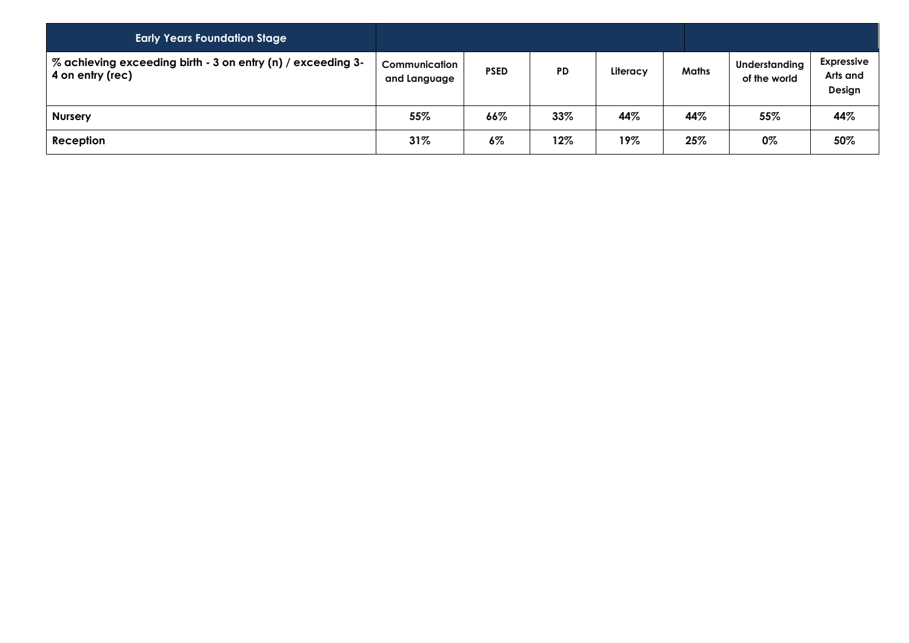| <b>Early Years Foundation Stage</b>                                             |                               |             |           |          |       |                               |                                         |
|---------------------------------------------------------------------------------|-------------------------------|-------------|-----------|----------|-------|-------------------------------|-----------------------------------------|
| % achieving exceeding birth - 3 on entry (n) / exceeding 3-<br>4 on entry (rec) | Communication<br>and Language | <b>PSED</b> | <b>PD</b> | Literacy | Maths | Understanding<br>of the world | <b>Expressive</b><br>Arts and<br>Design |
| <b>Nursery</b>                                                                  | 55%                           | 66%         | 33%       | 44%      | 44%   | 55%                           | 44%                                     |
| Reception                                                                       | 31%                           | $6\%$       | 12%       | 19%      | 25%   | 0%                            | 50%                                     |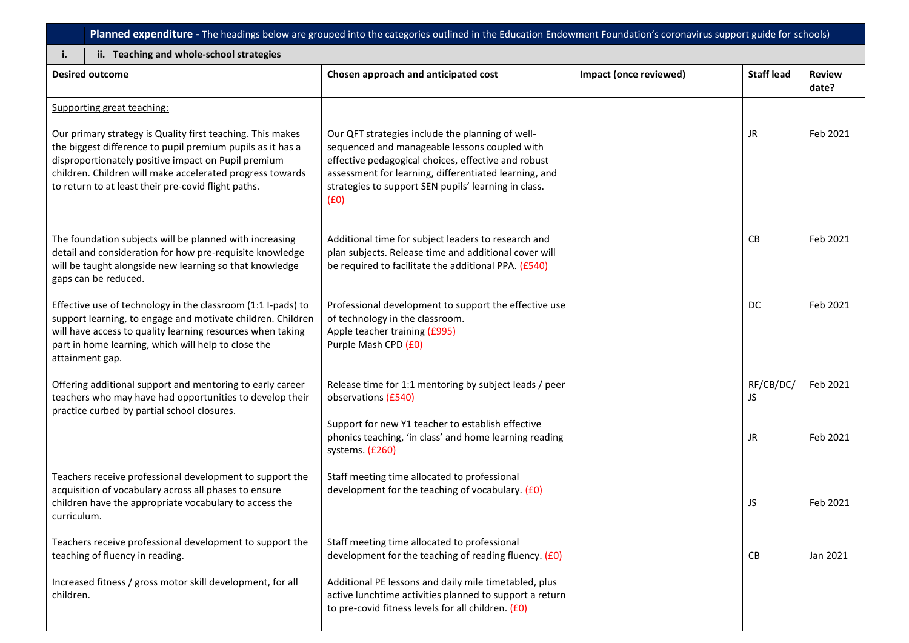Planned expenditure - The headings below are grouped into the categories outlined in the Education Endowment Foundation's coronavirus support guide for schools)

| ii. Teaching and whole-school strategies<br>i.                                                                                                                                                                                                                                                      |                                                                                                                                                                                                                                                                                   |                        |                   |                        |  |  |
|-----------------------------------------------------------------------------------------------------------------------------------------------------------------------------------------------------------------------------------------------------------------------------------------------------|-----------------------------------------------------------------------------------------------------------------------------------------------------------------------------------------------------------------------------------------------------------------------------------|------------------------|-------------------|------------------------|--|--|
| <b>Desired outcome</b>                                                                                                                                                                                                                                                                              | Chosen approach and anticipated cost                                                                                                                                                                                                                                              | Impact (once reviewed) | <b>Staff lead</b> | <b>Review</b><br>date? |  |  |
| Supporting great teaching:                                                                                                                                                                                                                                                                          |                                                                                                                                                                                                                                                                                   |                        |                   |                        |  |  |
| Our primary strategy is Quality first teaching. This makes<br>the biggest difference to pupil premium pupils as it has a<br>disproportionately positive impact on Pupil premium<br>children. Children will make accelerated progress towards<br>to return to at least their pre-covid flight paths. | Our QFT strategies include the planning of well-<br>sequenced and manageable lessons coupled with<br>effective pedagogical choices, effective and robust<br>assessment for learning, differentiated learning, and<br>strategies to support SEN pupils' learning in class.<br>(E0) |                        | JR.               | Feb 2021               |  |  |
| The foundation subjects will be planned with increasing<br>detail and consideration for how pre-requisite knowledge<br>will be taught alongside new learning so that knowledge<br>gaps can be reduced.                                                                                              | Additional time for subject leaders to research and<br>plan subjects. Release time and additional cover will<br>be required to facilitate the additional PPA. (£540)                                                                                                              |                        | CB                | Feb 2021               |  |  |
| Effective use of technology in the classroom (1:1 I-pads) to<br>support learning, to engage and motivate children. Children<br>will have access to quality learning resources when taking<br>part in home learning, which will help to close the<br>attainment gap.                                 | Professional development to support the effective use<br>of technology in the classroom.<br>Apple teacher training (£995)<br>Purple Mash CPD (£0)                                                                                                                                 |                        | DC                | Feb 2021               |  |  |
| Offering additional support and mentoring to early career<br>teachers who may have had opportunities to develop their<br>practice curbed by partial school closures.                                                                                                                                | Release time for 1:1 mentoring by subject leads / peer<br>observations (£540)                                                                                                                                                                                                     |                        | RF/CB/DC/<br>JS   | Feb 2021               |  |  |
|                                                                                                                                                                                                                                                                                                     | Support for new Y1 teacher to establish effective<br>phonics teaching, 'in class' and home learning reading<br>systems. (£260)                                                                                                                                                    |                        | JR                | Feb 2021               |  |  |
| Teachers receive professional development to support the<br>acquisition of vocabulary across all phases to ensure<br>children have the appropriate vocabulary to access the<br>curriculum.                                                                                                          | Staff meeting time allocated to professional<br>development for the teaching of vocabulary. (£0)                                                                                                                                                                                  |                        | <b>JS</b>         | Feb 2021               |  |  |
| Teachers receive professional development to support the<br>teaching of fluency in reading.                                                                                                                                                                                                         | Staff meeting time allocated to professional<br>development for the teaching of reading fluency. (£0)                                                                                                                                                                             |                        | CB                | Jan 2021               |  |  |
| Increased fitness / gross motor skill development, for all<br>children.                                                                                                                                                                                                                             | Additional PE lessons and daily mile timetabled, plus<br>active lunchtime activities planned to support a return<br>to pre-covid fitness levels for all children. (£0)                                                                                                            |                        |                   |                        |  |  |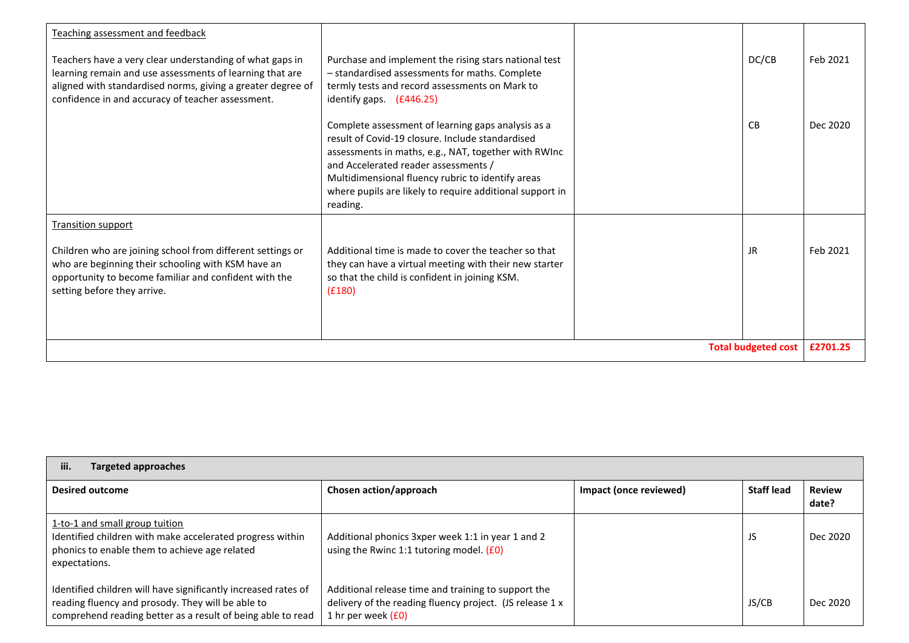| Teaching assessment and feedback                                                                                                                                                                                                         |                                                                                                                                                                                                                                                                                                                                     |                            |          |
|------------------------------------------------------------------------------------------------------------------------------------------------------------------------------------------------------------------------------------------|-------------------------------------------------------------------------------------------------------------------------------------------------------------------------------------------------------------------------------------------------------------------------------------------------------------------------------------|----------------------------|----------|
| Teachers have a very clear understanding of what gaps in<br>learning remain and use assessments of learning that are<br>aligned with standardised norms, giving a greater degree of<br>confidence in and accuracy of teacher assessment. | Purchase and implement the rising stars national test<br>- standardised assessments for maths. Complete<br>termly tests and record assessments on Mark to<br>identify gaps. (£446.25)                                                                                                                                               | DC/CB                      | Feb 2021 |
|                                                                                                                                                                                                                                          | Complete assessment of learning gaps analysis as a<br>result of Covid-19 closure. Include standardised<br>assessments in maths, e.g., NAT, together with RWInc<br>and Accelerated reader assessments /<br>Multidimensional fluency rubric to identify areas<br>where pupils are likely to require additional support in<br>reading. | CB                         | Dec 2020 |
| <b>Transition support</b><br>Children who are joining school from different settings or<br>who are beginning their schooling with KSM have an<br>opportunity to become familiar and confident with the<br>setting before they arrive.    | Additional time is made to cover the teacher so that<br>they can have a virtual meeting with their new starter<br>so that the child is confident in joining KSM.<br>(E180)                                                                                                                                                          | JR                         | Feb 2021 |
|                                                                                                                                                                                                                                          |                                                                                                                                                                                                                                                                                                                                     | <b>Total budgeted cost</b> | £2701.25 |

| iii.<br><b>Targeted approaches</b>                                                                                                                                                 |                                                                                                                                       |                        |                   |                        |  |  |  |
|------------------------------------------------------------------------------------------------------------------------------------------------------------------------------------|---------------------------------------------------------------------------------------------------------------------------------------|------------------------|-------------------|------------------------|--|--|--|
| <b>Desired outcome</b>                                                                                                                                                             | Chosen action/approach                                                                                                                | Impact (once reviewed) | <b>Staff lead</b> | <b>Review</b><br>date? |  |  |  |
| 1-to-1 and small group tuition<br>Identified children with make accelerated progress within<br>phonics to enable them to achieve age related<br>expectations.                      | Additional phonics 3xper week 1:1 in year 1 and 2<br>using the Rwinc 1:1 tutoring model. $(60)$                                       |                        | JS                | Dec 2020               |  |  |  |
| Identified children will have significantly increased rates of<br>reading fluency and prosody. They will be able to<br>comprehend reading better as a result of being able to read | Additional release time and training to support the<br>delivery of the reading fluency project. (JS release 1 x<br>1 hr per week (£0) |                        | JS/CB             | Dec 2020               |  |  |  |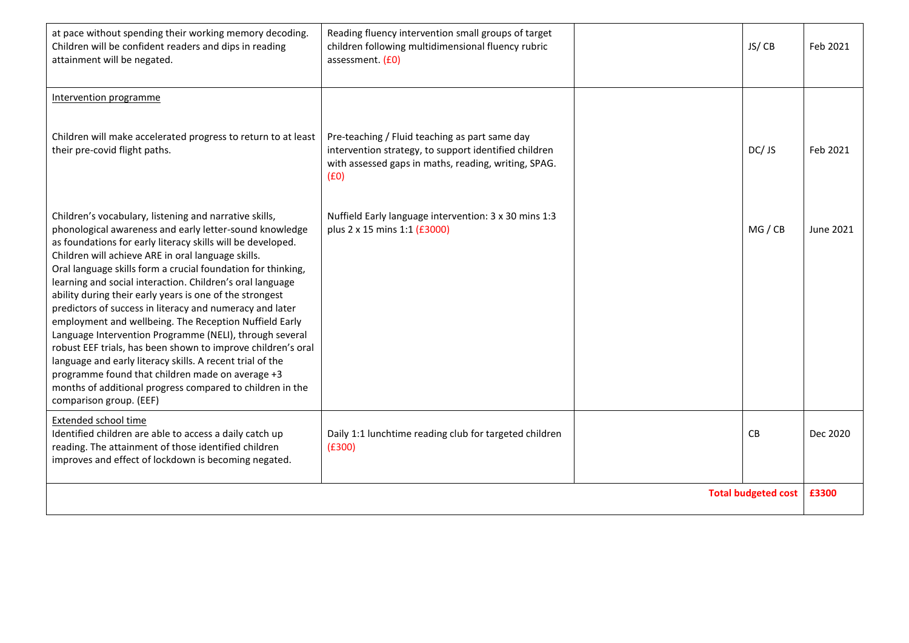| at pace without spending their working memory decoding.<br>Children will be confident readers and dips in reading<br>attainment will be negated.                                                                                                                                                                                                                                                                                                                                                                                                                                                                                                                                                                                                                                                                                                                                          | Reading fluency intervention small groups of target<br>children following multidimensional fluency rubric<br>assessment. (£0)                                           | JS/CB                      | Feb 2021  |
|-------------------------------------------------------------------------------------------------------------------------------------------------------------------------------------------------------------------------------------------------------------------------------------------------------------------------------------------------------------------------------------------------------------------------------------------------------------------------------------------------------------------------------------------------------------------------------------------------------------------------------------------------------------------------------------------------------------------------------------------------------------------------------------------------------------------------------------------------------------------------------------------|-------------------------------------------------------------------------------------------------------------------------------------------------------------------------|----------------------------|-----------|
| Intervention programme                                                                                                                                                                                                                                                                                                                                                                                                                                                                                                                                                                                                                                                                                                                                                                                                                                                                    |                                                                                                                                                                         |                            |           |
| Children will make accelerated progress to return to at least<br>their pre-covid flight paths.                                                                                                                                                                                                                                                                                                                                                                                                                                                                                                                                                                                                                                                                                                                                                                                            | Pre-teaching / Fluid teaching as part same day<br>intervention strategy, to support identified children<br>with assessed gaps in maths, reading, writing, SPAG.<br>(E0) | DC/JS                      | Feb 2021  |
| Children's vocabulary, listening and narrative skills,<br>phonological awareness and early letter-sound knowledge<br>as foundations for early literacy skills will be developed.<br>Children will achieve ARE in oral language skills.<br>Oral language skills form a crucial foundation for thinking,<br>learning and social interaction. Children's oral language<br>ability during their early years is one of the strongest<br>predictors of success in literacy and numeracy and later<br>employment and wellbeing. The Reception Nuffield Early<br>Language Intervention Programme (NELI), through several<br>robust EEF trials, has been shown to improve children's oral<br>language and early literacy skills. A recent trial of the<br>programme found that children made on average +3<br>months of additional progress compared to children in the<br>comparison group. (EEF) | Nuffield Early language intervention: 3 x 30 mins 1:3<br>plus 2 x 15 mins 1:1 (£3000)                                                                                   | MG / CB                    | June 2021 |
| <b>Extended school time</b><br>Identified children are able to access a daily catch up<br>reading. The attainment of those identified children<br>improves and effect of lockdown is becoming negated.                                                                                                                                                                                                                                                                                                                                                                                                                                                                                                                                                                                                                                                                                    | Daily 1:1 lunchtime reading club for targeted children<br>(E300)                                                                                                        | CB                         | Dec 2020  |
|                                                                                                                                                                                                                                                                                                                                                                                                                                                                                                                                                                                                                                                                                                                                                                                                                                                                                           |                                                                                                                                                                         | <b>Total budgeted cost</b> | £3300     |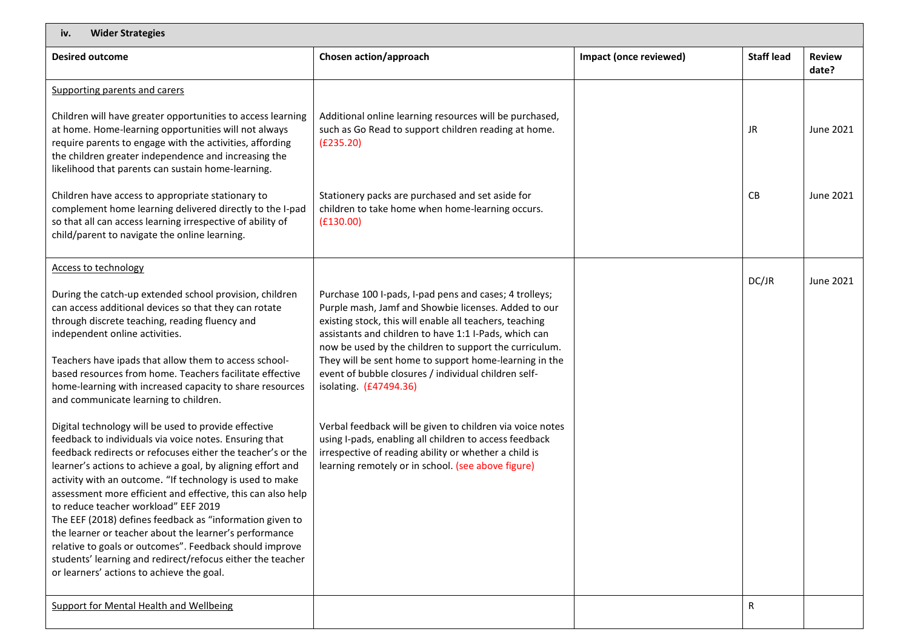| <b>Wider Strategies</b><br>iv.                                                                                                                                                                                                                                                                                                                                                                                                                                                                                                                                                                                                                                                                                                                                                                                                                                                                                                                                                                                                                                                                                                  |                                                                                                                                                                                                                                                                                                                                                                                                                                                                                                                                                                                                                                                                                |                        |                   |                        |  |  |  |
|---------------------------------------------------------------------------------------------------------------------------------------------------------------------------------------------------------------------------------------------------------------------------------------------------------------------------------------------------------------------------------------------------------------------------------------------------------------------------------------------------------------------------------------------------------------------------------------------------------------------------------------------------------------------------------------------------------------------------------------------------------------------------------------------------------------------------------------------------------------------------------------------------------------------------------------------------------------------------------------------------------------------------------------------------------------------------------------------------------------------------------|--------------------------------------------------------------------------------------------------------------------------------------------------------------------------------------------------------------------------------------------------------------------------------------------------------------------------------------------------------------------------------------------------------------------------------------------------------------------------------------------------------------------------------------------------------------------------------------------------------------------------------------------------------------------------------|------------------------|-------------------|------------------------|--|--|--|
| <b>Desired outcome</b>                                                                                                                                                                                                                                                                                                                                                                                                                                                                                                                                                                                                                                                                                                                                                                                                                                                                                                                                                                                                                                                                                                          | Chosen action/approach                                                                                                                                                                                                                                                                                                                                                                                                                                                                                                                                                                                                                                                         | Impact (once reviewed) | <b>Staff lead</b> | <b>Review</b><br>date? |  |  |  |
| Supporting parents and carers<br>Children will have greater opportunities to access learning<br>at home. Home-learning opportunities will not always<br>require parents to engage with the activities, affording<br>the children greater independence and increasing the<br>likelihood that parents can sustain home-learning.                                                                                                                                                                                                                                                                                                                                                                                                                                                                                                                                                                                                                                                                                                                                                                                                  | Additional online learning resources will be purchased,<br>such as Go Read to support children reading at home.<br>(E235.20)                                                                                                                                                                                                                                                                                                                                                                                                                                                                                                                                                   |                        | JR                | June 2021              |  |  |  |
| Children have access to appropriate stationary to<br>complement home learning delivered directly to the I-pad<br>so that all can access learning irrespective of ability of<br>child/parent to navigate the online learning.                                                                                                                                                                                                                                                                                                                                                                                                                                                                                                                                                                                                                                                                                                                                                                                                                                                                                                    | Stationery packs are purchased and set aside for<br>children to take home when home-learning occurs.<br>(E130.00)                                                                                                                                                                                                                                                                                                                                                                                                                                                                                                                                                              |                        | CB                | June 2021              |  |  |  |
| <b>Access to technology</b><br>During the catch-up extended school provision, children<br>can access additional devices so that they can rotate<br>through discrete teaching, reading fluency and<br>independent online activities.<br>Teachers have ipads that allow them to access school-<br>based resources from home. Teachers facilitate effective<br>home-learning with increased capacity to share resources<br>and communicate learning to children.<br>Digital technology will be used to provide effective<br>feedback to individuals via voice notes. Ensuring that<br>feedback redirects or refocuses either the teacher's or the<br>learner's actions to achieve a goal, by aligning effort and<br>activity with an outcome. "If technology is used to make<br>assessment more efficient and effective, this can also help<br>to reduce teacher workload" EEF 2019<br>The EEF (2018) defines feedback as "information given to<br>the learner or teacher about the learner's performance<br>relative to goals or outcomes". Feedback should improve<br>students' learning and redirect/refocus either the teacher | Purchase 100 I-pads, I-pad pens and cases; 4 trolleys;<br>Purple mash, Jamf and Showbie licenses. Added to our<br>existing stock, this will enable all teachers, teaching<br>assistants and children to have 1:1 I-Pads, which can<br>now be used by the children to support the curriculum.<br>They will be sent home to support home-learning in the<br>event of bubble closures / individual children self-<br>isolating. (£47494.36)<br>Verbal feedback will be given to children via voice notes<br>using I-pads, enabling all children to access feedback<br>irrespective of reading ability or whether a child is<br>learning remotely or in school. (see above figure) |                        | DC/JR             | June 2021              |  |  |  |
| or learners' actions to achieve the goal.<br>Support for Mental Health and Wellbeing                                                                                                                                                                                                                                                                                                                                                                                                                                                                                                                                                                                                                                                                                                                                                                                                                                                                                                                                                                                                                                            |                                                                                                                                                                                                                                                                                                                                                                                                                                                                                                                                                                                                                                                                                |                        | R                 |                        |  |  |  |